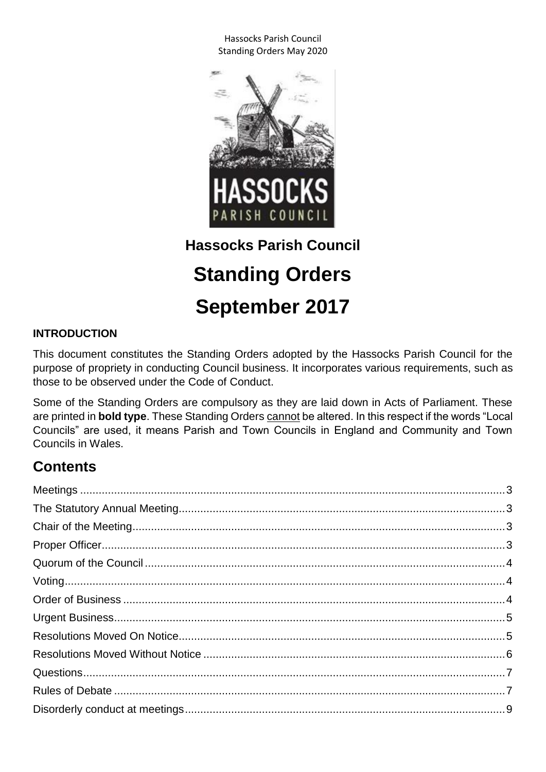

## **Hassocks Parish Council**

# **Standing Orders September 2017**

### **INTRODUCTION**

This document constitutes the Standing Orders adopted by the Hassocks Parish Council for the purpose of propriety in conducting Council business. It incorporates various requirements, such as those to be observed under the Code of Conduct.

Some of the Standing Orders are compulsory as they are laid down in Acts of Parliament. These are printed in **bold type**. These Standing Orders cannot be altered. In this respect if the words "Local Councils" are used, it means Parish and Town Councils in England and Community and Town Councils in Wales.

# **Contents**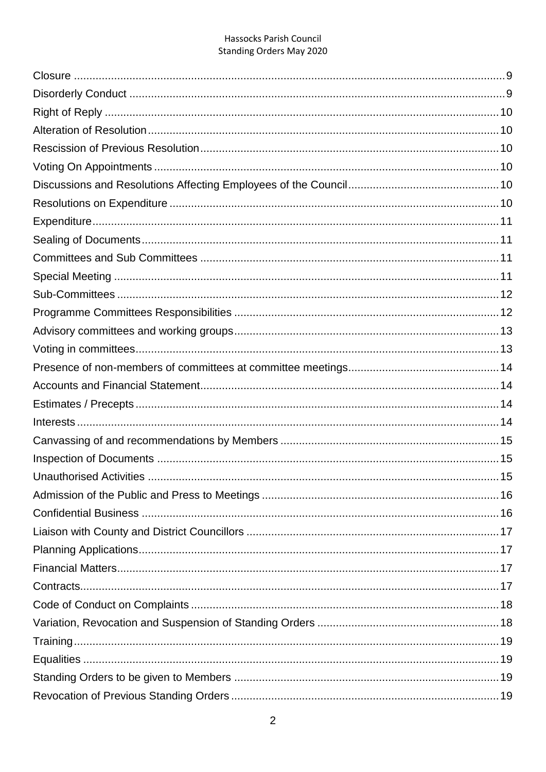| <b>Unauthorised Activities</b> | 15 |
|--------------------------------|----|
|                                |    |
|                                |    |
|                                |    |
|                                |    |
|                                |    |
|                                |    |
|                                |    |
|                                |    |
|                                |    |
|                                |    |
|                                |    |
|                                |    |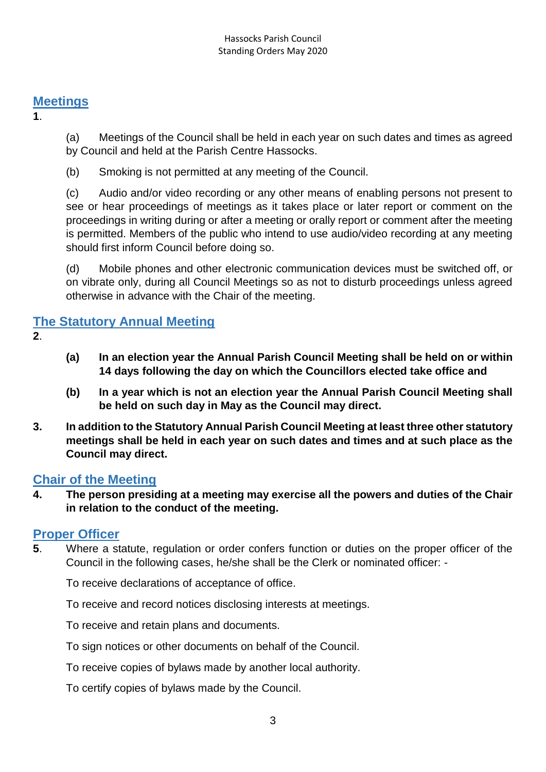### <span id="page-2-0"></span>**Meetings**

**1**.

(a) Meetings of the Council shall be held in each year on such dates and times as agreed by Council and held at the Parish Centre Hassocks.

(b) Smoking is not permitted at any meeting of the Council.

(c) Audio and/or video recording or any other means of enabling persons not present to see or hear proceedings of meetings as it takes place or later report or comment on the proceedings in writing during or after a meeting or orally report or comment after the meeting is permitted. Members of the public who intend to use audio/video recording at any meeting should first inform Council before doing so.

(d) Mobile phones and other electronic communication devices must be switched off, or on vibrate only, during all Council Meetings so as not to disturb proceedings unless agreed otherwise in advance with the Chair of the meeting.

### <span id="page-2-1"></span>**The Statutory Annual Meeting**

- **2**.
- **(a) In an election year the Annual Parish Council Meeting shall be held on or within 14 days following the day on which the Councillors elected take office and**
- **(b) In a year which is not an election year the Annual Parish Council Meeting shall be held on such day in May as the Council may direct.**
- **3. In addition to the Statutory Annual Parish Council Meeting at least three other statutory meetings shall be held in each year on such dates and times and at such place as the Council may direct.**

### <span id="page-2-2"></span>**Chair of the Meeting**

**4. The person presiding at a meeting may exercise all the powers and duties of the Chair in relation to the conduct of the meeting.**

### <span id="page-2-3"></span>**Proper Officer**

**5**. Where a statute, regulation or order confers function or duties on the proper officer of the Council in the following cases, he/she shall be the Clerk or nominated officer: -

To receive declarations of acceptance of office.

To receive and record notices disclosing interests at meetings.

To receive and retain plans and documents.

To sign notices or other documents on behalf of the Council.

To receive copies of bylaws made by another local authority.

To certify copies of bylaws made by the Council.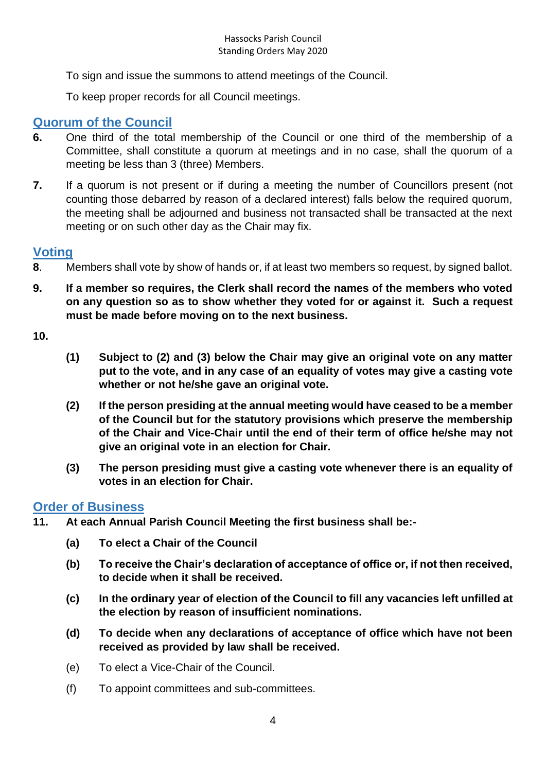To sign and issue the summons to attend meetings of the Council.

To keep proper records for all Council meetings.

### <span id="page-3-0"></span>**Quorum of the Council**

- **6.** One third of the total membership of the Council or one third of the membership of a Committee, shall constitute a quorum at meetings and in no case, shall the quorum of a meeting be less than 3 (three) Members.
- **7.** If a quorum is not present or if during a meeting the number of Councillors present (not counting those debarred by reason of a declared interest) falls below the required quorum, the meeting shall be adjourned and business not transacted shall be transacted at the next meeting or on such other day as the Chair may fix.

### <span id="page-3-1"></span>**Voting**

- **8**. Members shall vote by show of hands or, if at least two members so request, by signed ballot.
- **9. If a member so requires, the Clerk shall record the names of the members who voted on any question so as to show whether they voted for or against it. Such a request must be made before moving on to the next business.**

**10.**

- **(1) Subject to (2) and (3) below the Chair may give an original vote on any matter put to the vote, and in any case of an equality of votes may give a casting vote whether or not he/she gave an original vote.**
- **(2) If the person presiding at the annual meeting would have ceased to be a member of the Council but for the statutory provisions which preserve the membership of the Chair and Vice-Chair until the end of their term of office he/she may not give an original vote in an election for Chair.**
- **(3) The person presiding must give a casting vote whenever there is an equality of votes in an election for Chair.**

### <span id="page-3-2"></span>**Order of Business**

- **11. At each Annual Parish Council Meeting the first business shall be:-**
	- **(a) To elect a Chair of the Council**
	- **(b) To receive the Chair's declaration of acceptance of office or, if not then received, to decide when it shall be received.**
	- **(c) In the ordinary year of election of the Council to fill any vacancies left unfilled at the election by reason of insufficient nominations.**
	- **(d) To decide when any declarations of acceptance of office which have not been received as provided by law shall be received.**
	- (e) To elect a Vice-Chair of the Council.
	- (f) To appoint committees and sub-committees.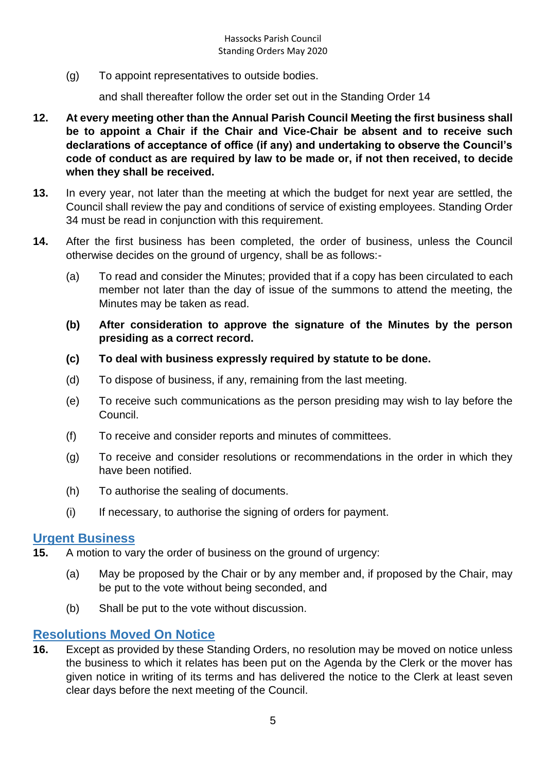(g) To appoint representatives to outside bodies.

and shall thereafter follow the order set out in the Standing Order 14

- **12. At every meeting other than the Annual Parish Council Meeting the first business shall be to appoint a Chair if the Chair and Vice-Chair be absent and to receive such declarations of acceptance of office (if any) and undertaking to observe the Council's code of conduct as are required by law to be made or, if not then received, to decide when they shall be received.**
- **13.** In every year, not later than the meeting at which the budget for next year are settled, the Council shall review the pay and conditions of service of existing employees. Standing Order 34 must be read in conjunction with this requirement.
- **14.** After the first business has been completed, the order of business, unless the Council otherwise decides on the ground of urgency, shall be as follows:-
	- (a) To read and consider the Minutes; provided that if a copy has been circulated to each member not later than the day of issue of the summons to attend the meeting, the Minutes may be taken as read.
	- **(b) After consideration to approve the signature of the Minutes by the person presiding as a correct record.**
	- **(c) To deal with business expressly required by statute to be done.**
	- (d) To dispose of business, if any, remaining from the last meeting.
	- (e) To receive such communications as the person presiding may wish to lay before the Council.
	- (f) To receive and consider reports and minutes of committees.
	- (g) To receive and consider resolutions or recommendations in the order in which they have been notified.
	- (h) To authorise the sealing of documents.
	- (i) If necessary, to authorise the signing of orders for payment.

#### <span id="page-4-0"></span>**Urgent Business**

- **15.** A motion to vary the order of business on the ground of urgency:
	- (a) May be proposed by the Chair or by any member and, if proposed by the Chair, may be put to the vote without being seconded, and
	- (b) Shall be put to the vote without discussion.

### <span id="page-4-1"></span>**Resolutions Moved On Notice**

**16.** Except as provided by these Standing Orders, no resolution may be moved on notice unless the business to which it relates has been put on the Agenda by the Clerk or the mover has given notice in writing of its terms and has delivered the notice to the Clerk at least seven clear days before the next meeting of the Council.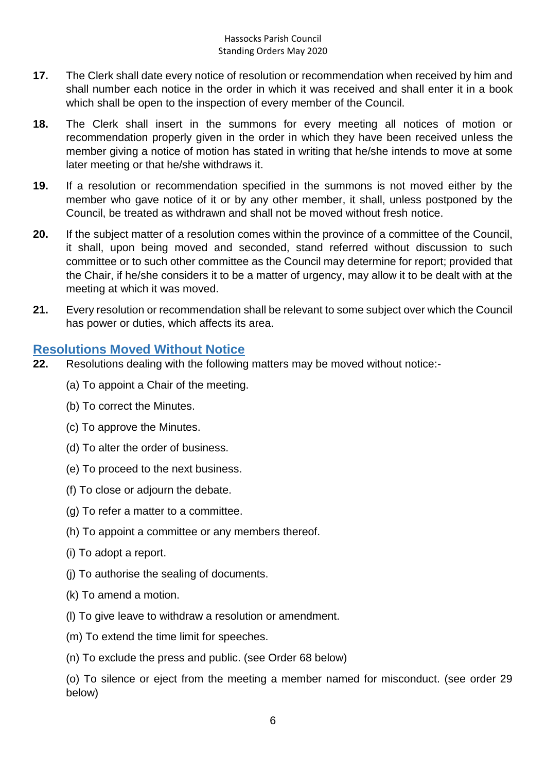- **17.** The Clerk shall date every notice of resolution or recommendation when received by him and shall number each notice in the order in which it was received and shall enter it in a book which shall be open to the inspection of every member of the Council.
- **18.** The Clerk shall insert in the summons for every meeting all notices of motion or recommendation properly given in the order in which they have been received unless the member giving a notice of motion has stated in writing that he/she intends to move at some later meeting or that he/she withdraws it.
- **19.** If a resolution or recommendation specified in the summons is not moved either by the member who gave notice of it or by any other member, it shall, unless postponed by the Council, be treated as withdrawn and shall not be moved without fresh notice.
- **20.** If the subject matter of a resolution comes within the province of a committee of the Council, it shall, upon being moved and seconded, stand referred without discussion to such committee or to such other committee as the Council may determine for report; provided that the Chair, if he/she considers it to be a matter of urgency, may allow it to be dealt with at the meeting at which it was moved.
- **21.** Every resolution or recommendation shall be relevant to some subject over which the Council has power or duties, which affects its area.

### <span id="page-5-0"></span>**Resolutions Moved Without Notice**

- **22.** Resolutions dealing with the following matters may be moved without notice:-
	- (a) To appoint a Chair of the meeting.
	- (b) To correct the Minutes.
	- (c) To approve the Minutes.
	- (d) To alter the order of business.
	- (e) To proceed to the next business.
	- (f) To close or adjourn the debate.
	- (g) To refer a matter to a committee.
	- (h) To appoint a committee or any members thereof.
	- (i) To adopt a report.
	- (j) To authorise the sealing of documents.
	- (k) To amend a motion.
	- (l) To give leave to withdraw a resolution or amendment.
	- (m) To extend the time limit for speeches.
	- (n) To exclude the press and public. (see Order 68 below)

(o) To silence or eject from the meeting a member named for misconduct. (see order 29 below)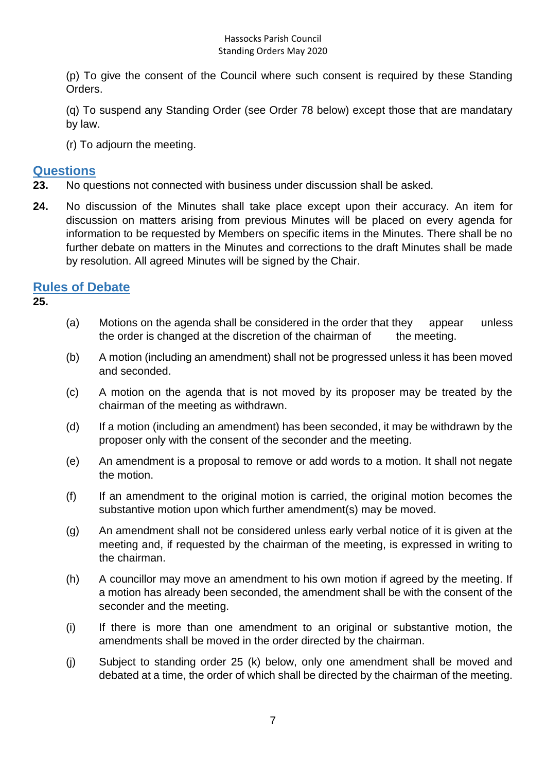(p) To give the consent of the Council where such consent is required by these Standing Orders.

(q) To suspend any Standing Order (see Order 78 below) except those that are mandatary by law.

(r) To adjourn the meeting.

### <span id="page-6-0"></span>**Questions**

- **23.** No questions not connected with business under discussion shall be asked.
- **24.** No discussion of the Minutes shall take place except upon their accuracy. An item for discussion on matters arising from previous Minutes will be placed on every agenda for information to be requested by Members on specific items in the Minutes. There shall be no further debate on matters in the Minutes and corrections to the draft Minutes shall be made by resolution. All agreed Minutes will be signed by the Chair.

### <span id="page-6-1"></span>**Rules of Debate**

**25.**

- (a) Motions on the agenda shall be considered in the order that they appear unless the order is changed at the discretion of the chairman of the meeting.
- (b) A motion (including an amendment) shall not be progressed unless it has been moved and seconded.
- (c) A motion on the agenda that is not moved by its proposer may be treated by the chairman of the meeting as withdrawn.
- (d) If a motion (including an amendment) has been seconded, it may be withdrawn by the proposer only with the consent of the seconder and the meeting.
- (e) An amendment is a proposal to remove or add words to a motion. It shall not negate the motion.
- (f) If an amendment to the original motion is carried, the original motion becomes the substantive motion upon which further amendment(s) may be moved.
- (g) An amendment shall not be considered unless early verbal notice of it is given at the meeting and, if requested by the chairman of the meeting, is expressed in writing to the chairman.
- (h) A councillor may move an amendment to his own motion if agreed by the meeting. If a motion has already been seconded, the amendment shall be with the consent of the seconder and the meeting.
- (i) If there is more than one amendment to an original or substantive motion, the amendments shall be moved in the order directed by the chairman.
- (j) Subject to standing order 25 (k) below, only one amendment shall be moved and debated at a time, the order of which shall be directed by the chairman of the meeting.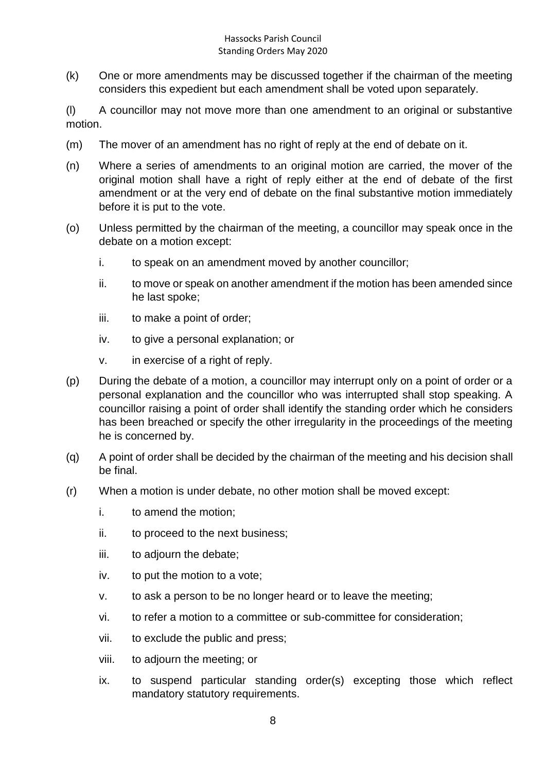(k) One or more amendments may be discussed together if the chairman of the meeting considers this expedient but each amendment shall be voted upon separately.

(l) A councillor may not move more than one amendment to an original or substantive motion.

- (m) The mover of an amendment has no right of reply at the end of debate on it.
- (n) Where a series of amendments to an original motion are carried, the mover of the original motion shall have a right of reply either at the end of debate of the first amendment or at the very end of debate on the final substantive motion immediately before it is put to the vote.
- (o) Unless permitted by the chairman of the meeting, a councillor may speak once in the debate on a motion except:
	- i. to speak on an amendment moved by another councillor;
	- ii. to move or speak on another amendment if the motion has been amended since he last spoke;
	- iii. to make a point of order;
	- iv. to give a personal explanation; or
	- v. in exercise of a right of reply.
- (p) During the debate of a motion, a councillor may interrupt only on a point of order or a personal explanation and the councillor who was interrupted shall stop speaking. A councillor raising a point of order shall identify the standing order which he considers has been breached or specify the other irregularity in the proceedings of the meeting he is concerned by.
- (q) A point of order shall be decided by the chairman of the meeting and his decision shall be final.
- (r) When a motion is under debate, no other motion shall be moved except:
	- i. to amend the motion;
	- ii. to proceed to the next business;
	- iii. to adjourn the debate;
	- iv. to put the motion to a vote;
	- v. to ask a person to be no longer heard or to leave the meeting;
	- vi. to refer a motion to a committee or sub-committee for consideration;
	- vii. to exclude the public and press;
	- viii. to adjourn the meeting; or
	- ix. to suspend particular standing order(s) excepting those which reflect mandatory statutory requirements.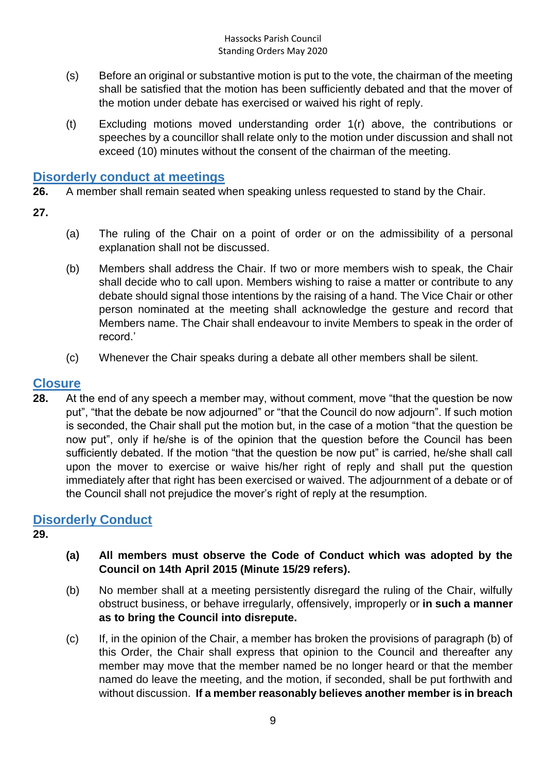- (s) Before an original or substantive motion is put to the vote, the chairman of the meeting shall be satisfied that the motion has been sufficiently debated and that the mover of the motion under debate has exercised or waived his right of reply.
- (t) Excluding motions moved understanding order 1(r) above, the contributions or speeches by a councillor shall relate only to the motion under discussion and shall not exceed (10) minutes without the consent of the chairman of the meeting.

### <span id="page-8-0"></span>**Disorderly conduct at meetings**

**26.** A member shall remain seated when speaking unless requested to stand by the Chair.

**27.**

- (a) The ruling of the Chair on a point of order or on the admissibility of a personal explanation shall not be discussed.
- (b) Members shall address the Chair. If two or more members wish to speak, the Chair shall decide who to call upon. Members wishing to raise a matter or contribute to any debate should signal those intentions by the raising of a hand. The Vice Chair or other person nominated at the meeting shall acknowledge the gesture and record that Members name. The Chair shall endeavour to invite Members to speak in the order of record.'
- (c) Whenever the Chair speaks during a debate all other members shall be silent.

### <span id="page-8-1"></span>**Closure**

**28.** At the end of any speech a member may, without comment, move "that the question be now put", "that the debate be now adjourned" or "that the Council do now adjourn". If such motion is seconded, the Chair shall put the motion but, in the case of a motion "that the question be now put", only if he/she is of the opinion that the question before the Council has been sufficiently debated. If the motion "that the question be now put" is carried, he/she shall call upon the mover to exercise or waive his/her right of reply and shall put the question immediately after that right has been exercised or waived. The adjournment of a debate or of the Council shall not prejudice the mover's right of reply at the resumption.

### <span id="page-8-2"></span>**Disorderly Conduct**

**29.**

- **(a) All members must observe the Code of Conduct which was adopted by the Council on 14th April 2015 (Minute 15/29 refers).**
- (b) No member shall at a meeting persistently disregard the ruling of the Chair, wilfully obstruct business, or behave irregularly, offensively, improperly or **in such a manner as to bring the Council into disrepute.**
- (c) If, in the opinion of the Chair, a member has broken the provisions of paragraph (b) of this Order, the Chair shall express that opinion to the Council and thereafter any member may move that the member named be no longer heard or that the member named do leave the meeting, and the motion, if seconded, shall be put forthwith and without discussion. **If a member reasonably believes another member is in breach**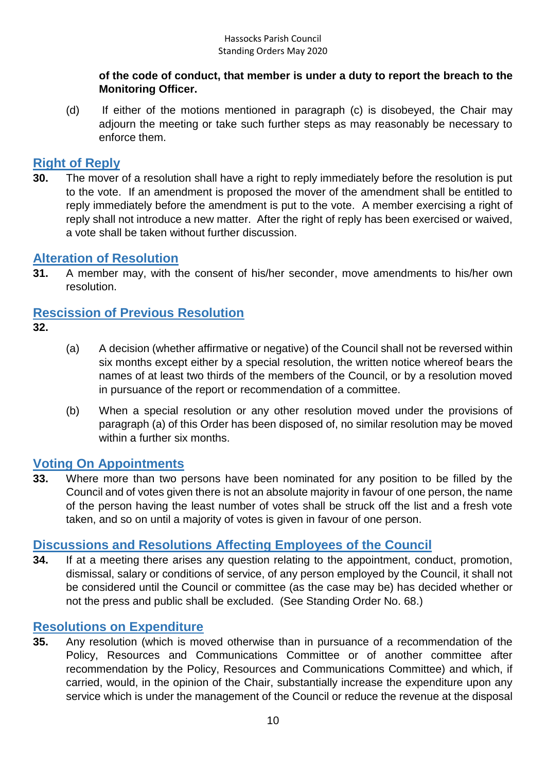#### **of the code of conduct, that member is under a duty to report the breach to the Monitoring Officer.**

(d) If either of the motions mentioned in paragraph (c) is disobeyed, the Chair may adjourn the meeting or take such further steps as may reasonably be necessary to enforce them.

### <span id="page-9-0"></span>**Right of Reply**

**30.** The mover of a resolution shall have a right to reply immediately before the resolution is put to the vote. If an amendment is proposed the mover of the amendment shall be entitled to reply immediately before the amendment is put to the vote. A member exercising a right of reply shall not introduce a new matter. After the right of reply has been exercised or waived. a vote shall be taken without further discussion.

### <span id="page-9-1"></span>**Alteration of Resolution**

**31.** A member may, with the consent of his/her seconder, move amendments to his/her own resolution.

### <span id="page-9-2"></span>**Rescission of Previous Resolution**

- **32.**
- (a) A decision (whether affirmative or negative) of the Council shall not be reversed within six months except either by a special resolution, the written notice whereof bears the names of at least two thirds of the members of the Council, or by a resolution moved in pursuance of the report or recommendation of a committee.
- (b) When a special resolution or any other resolution moved under the provisions of paragraph (a) of this Order has been disposed of, no similar resolution may be moved within a further six months.

### <span id="page-9-3"></span>**Voting On Appointments**

**33.** Where more than two persons have been nominated for any position to be filled by the Council and of votes given there is not an absolute majority in favour of one person, the name of the person having the least number of votes shall be struck off the list and a fresh vote taken, and so on until a majority of votes is given in favour of one person.

### <span id="page-9-4"></span>**Discussions and Resolutions Affecting Employees of the Council**

**34.** If at a meeting there arises any question relating to the appointment, conduct, promotion, dismissal, salary or conditions of service, of any person employed by the Council, it shall not be considered until the Council or committee (as the case may be) has decided whether or not the press and public shall be excluded. (See Standing Order No. 68.)

### <span id="page-9-5"></span>**Resolutions on Expenditure**

**35.** Any resolution (which is moved otherwise than in pursuance of a recommendation of the Policy, Resources and Communications Committee or of another committee after recommendation by the Policy, Resources and Communications Committee) and which, if carried, would, in the opinion of the Chair, substantially increase the expenditure upon any service which is under the management of the Council or reduce the revenue at the disposal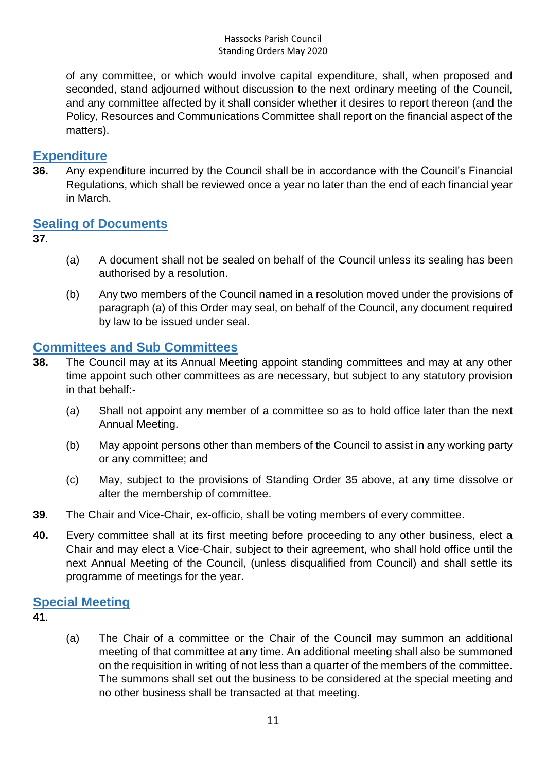of any committee, or which would involve capital expenditure, shall, when proposed and seconded, stand adjourned without discussion to the next ordinary meeting of the Council, and any committee affected by it shall consider whether it desires to report thereon (and the Policy, Resources and Communications Committee shall report on the financial aspect of the matters).

### <span id="page-10-0"></span>**Expenditure**

**36.** Any expenditure incurred by the Council shall be in accordance with the Council's Financial Regulations, which shall be reviewed once a year no later than the end of each financial year in March.

### <span id="page-10-1"></span>**Sealing of Documents**

- **37**.
- (a) A document shall not be sealed on behalf of the Council unless its sealing has been authorised by a resolution.
- (b) Any two members of the Council named in a resolution moved under the provisions of paragraph (a) of this Order may seal, on behalf of the Council, any document required by law to be issued under seal.

### <span id="page-10-2"></span>**Committees and Sub Committees**

- **38.** The Council may at its Annual Meeting appoint standing committees and may at any other time appoint such other committees as are necessary, but subject to any statutory provision in that behalf:-
	- (a) Shall not appoint any member of a committee so as to hold office later than the next Annual Meeting.
	- (b) May appoint persons other than members of the Council to assist in any working party or any committee; and
	- (c) May, subject to the provisions of Standing Order 35 above, at any time dissolve or alter the membership of committee.
- **39**. The Chair and Vice-Chair, ex-officio, shall be voting members of every committee.
- **40.** Every committee shall at its first meeting before proceeding to any other business, elect a Chair and may elect a Vice-Chair, subject to their agreement, who shall hold office until the next Annual Meeting of the Council, (unless disqualified from Council) and shall settle its programme of meetings for the year.

### <span id="page-10-3"></span>**Special Meeting**

- **41**.
- (a) The Chair of a committee or the Chair of the Council may summon an additional meeting of that committee at any time. An additional meeting shall also be summoned on the requisition in writing of not less than a quarter of the members of the committee. The summons shall set out the business to be considered at the special meeting and no other business shall be transacted at that meeting.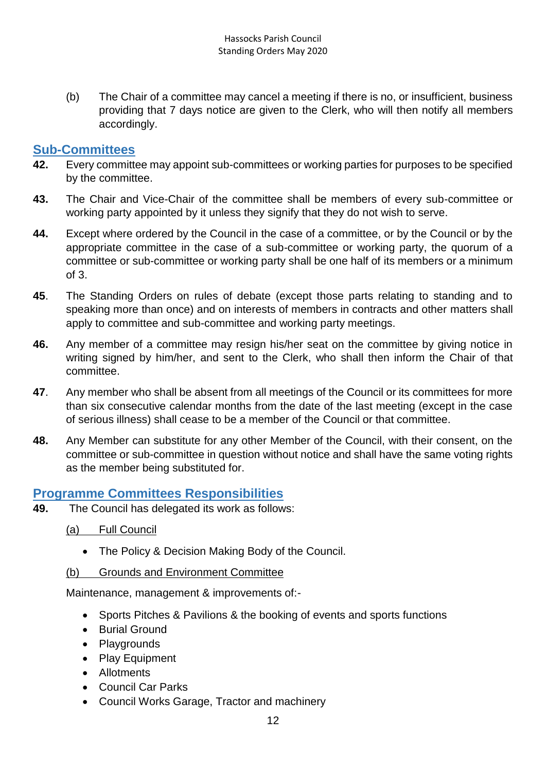(b) The Chair of a committee may cancel a meeting if there is no, or insufficient, business providing that 7 days notice are given to the Clerk, who will then notify all members accordingly.

#### <span id="page-11-0"></span>**Sub-Committees**

- **42.** Every committee may appoint sub-committees or working parties for purposes to be specified by the committee.
- **43.** The Chair and Vice-Chair of the committee shall be members of every sub-committee or working party appointed by it unless they signify that they do not wish to serve.
- **44.** Except where ordered by the Council in the case of a committee, or by the Council or by the appropriate committee in the case of a sub-committee or working party, the quorum of a committee or sub-committee or working party shall be one half of its members or a minimum of 3.
- **45**. The Standing Orders on rules of debate (except those parts relating to standing and to speaking more than once) and on interests of members in contracts and other matters shall apply to committee and sub-committee and working party meetings.
- **46.** Any member of a committee may resign his/her seat on the committee by giving notice in writing signed by him/her, and sent to the Clerk, who shall then inform the Chair of that committee.
- **47**. Any member who shall be absent from all meetings of the Council or its committees for more than six consecutive calendar months from the date of the last meeting (except in the case of serious illness) shall cease to be a member of the Council or that committee.
- **48.** Any Member can substitute for any other Member of the Council, with their consent, on the committee or sub-committee in question without notice and shall have the same voting rights as the member being substituted for.

### <span id="page-11-1"></span>**Programme Committees Responsibilities**

**49.** The Council has delegated its work as follows:

(a) Full Council

- The Policy & Decision Making Body of the Council.
- (b) Grounds and Environment Committee

Maintenance, management & improvements of:-

- Sports Pitches & Pavilions & the booking of events and sports functions
- Burial Ground
- Playgrounds
- Play Equipment
- Allotments
- Council Car Parks
- Council Works Garage, Tractor and machinery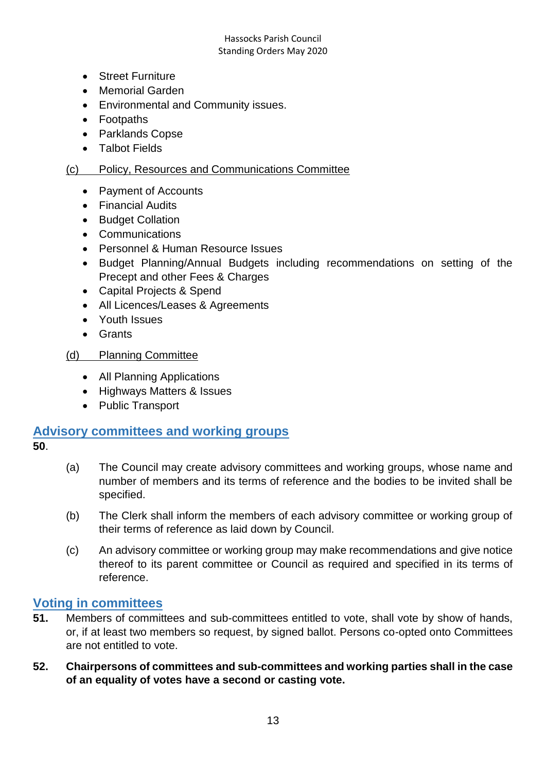- Street Furniture
- Memorial Garden
- Environmental and Community issues.
- Footpaths
- Parklands Copse
- Talbot Fields

#### (c) Policy, Resources and Communications Committee

- Payment of Accounts
- Financial Audits
- Budget Collation
- Communications
- Personnel & Human Resource Issues
- Budget Planning/Annual Budgets including recommendations on setting of the Precept and other Fees & Charges
- Capital Projects & Spend
- All Licences/Leases & Agreements
- Youth Issues
- Grants

#### (d) Planning Committee

- All Planning Applications
- Highways Matters & Issues
- Public Transport

#### <span id="page-12-0"></span>**Advisory committees and working groups**

- **50**.
- (a) The Council may create advisory committees and working groups, whose name and number of members and its terms of reference and the bodies to be invited shall be specified.
- (b) The Clerk shall inform the members of each advisory committee or working group of their terms of reference as laid down by Council.
- (c) An advisory committee or working group may make recommendations and give notice thereof to its parent committee or Council as required and specified in its terms of reference.

#### <span id="page-12-1"></span>**Voting in committees**

- **51.** Members of committees and sub-committees entitled to vote, shall vote by show of hands, or, if at least two members so request, by signed ballot. Persons co-opted onto Committees are not entitled to vote.
- **52. Chairpersons of committees and sub-committees and working parties shall in the case of an equality of votes have a second or casting vote.**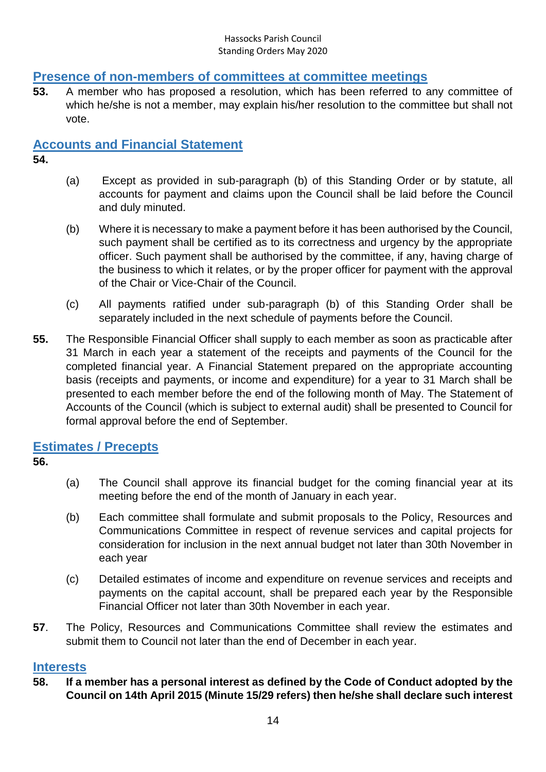### <span id="page-13-0"></span>**Presence of non-members of committees at committee meetings**

**53.** A member who has proposed a resolution, which has been referred to any committee of which he/she is not a member, may explain his/her resolution to the committee but shall not vote.

### <span id="page-13-1"></span>**Accounts and Financial Statement**

- **54.**
- (a) Except as provided in sub-paragraph (b) of this Standing Order or by statute, all accounts for payment and claims upon the Council shall be laid before the Council and duly minuted.
- (b) Where it is necessary to make a payment before it has been authorised by the Council, such payment shall be certified as to its correctness and urgency by the appropriate officer. Such payment shall be authorised by the committee, if any, having charge of the business to which it relates, or by the proper officer for payment with the approval of the Chair or Vice-Chair of the Council.
- (c) All payments ratified under sub-paragraph (b) of this Standing Order shall be separately included in the next schedule of payments before the Council.
- **55.** The Responsible Financial Officer shall supply to each member as soon as practicable after 31 March in each year a statement of the receipts and payments of the Council for the completed financial year. A Financial Statement prepared on the appropriate accounting basis (receipts and payments, or income and expenditure) for a year to 31 March shall be presented to each member before the end of the following month of May. The Statement of Accounts of the Council (which is subject to external audit) shall be presented to Council for formal approval before the end of September.

### <span id="page-13-2"></span>**Estimates / Precepts**

- **56.**
- (a) The Council shall approve its financial budget for the coming financial year at its meeting before the end of the month of January in each year.
- (b) Each committee shall formulate and submit proposals to the Policy, Resources and Communications Committee in respect of revenue services and capital projects for consideration for inclusion in the next annual budget not later than 30th November in each year
- (c) Detailed estimates of income and expenditure on revenue services and receipts and payments on the capital account, shall be prepared each year by the Responsible Financial Officer not later than 30th November in each year.
- **57**. The Policy, Resources and Communications Committee shall review the estimates and submit them to Council not later than the end of December in each year.

### <span id="page-13-3"></span>**Interests**

**58. If a member has a personal interest as defined by the Code of Conduct adopted by the Council on 14th April 2015 (Minute 15/29 refers) then he/she shall declare such interest**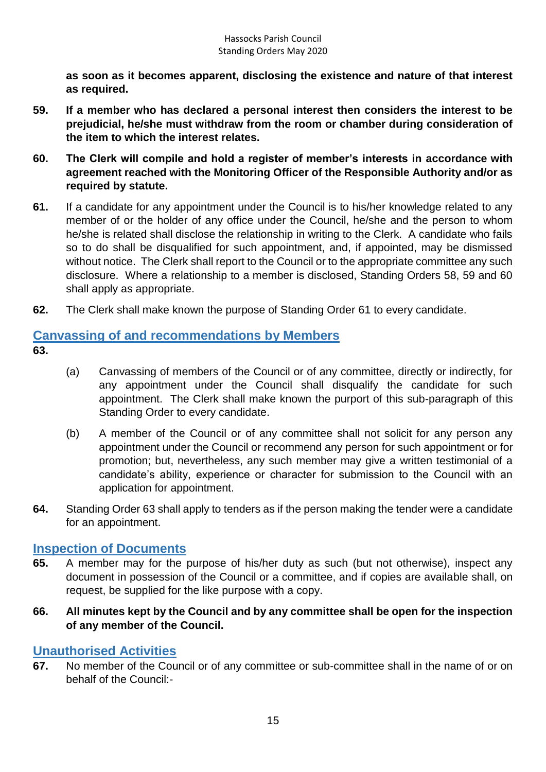**as soon as it becomes apparent, disclosing the existence and nature of that interest as required.**

- **59. If a member who has declared a personal interest then considers the interest to be prejudicial, he/she must withdraw from the room or chamber during consideration of the item to which the interest relates.**
- **60. The Clerk will compile and hold a register of member's interests in accordance with agreement reached with the Monitoring Officer of the Responsible Authority and/or as required by statute.**
- **61.** If a candidate for any appointment under the Council is to his/her knowledge related to any member of or the holder of any office under the Council, he/she and the person to whom he/she is related shall disclose the relationship in writing to the Clerk. A candidate who fails so to do shall be disqualified for such appointment, and, if appointed, may be dismissed without notice. The Clerk shall report to the Council or to the appropriate committee any such disclosure. Where a relationship to a member is disclosed, Standing Orders 58, 59 and 60 shall apply as appropriate.
- **62.** The Clerk shall make known the purpose of Standing Order 61 to every candidate.

# <span id="page-14-0"></span>**Canvassing of and recommendations by Members**

- **63.**
- (a) Canvassing of members of the Council or of any committee, directly or indirectly, for any appointment under the Council shall disqualify the candidate for such appointment. The Clerk shall make known the purport of this sub-paragraph of this Standing Order to every candidate.
- (b) A member of the Council or of any committee shall not solicit for any person any appointment under the Council or recommend any person for such appointment or for promotion; but, nevertheless, any such member may give a written testimonial of a candidate's ability, experience or character for submission to the Council with an application for appointment.
- **64.** Standing Order 63 shall apply to tenders as if the person making the tender were a candidate for an appointment.

### <span id="page-14-1"></span>**Inspection of Documents**

- **65.** A member may for the purpose of his/her duty as such (but not otherwise), inspect any document in possession of the Council or a committee, and if copies are available shall, on request, be supplied for the like purpose with a copy.
- **66. All minutes kept by the Council and by any committee shall be open for the inspection of any member of the Council.**

### <span id="page-14-2"></span>**Unauthorised Activities**

**67.** No member of the Council or of any committee or sub-committee shall in the name of or on behalf of the Council:-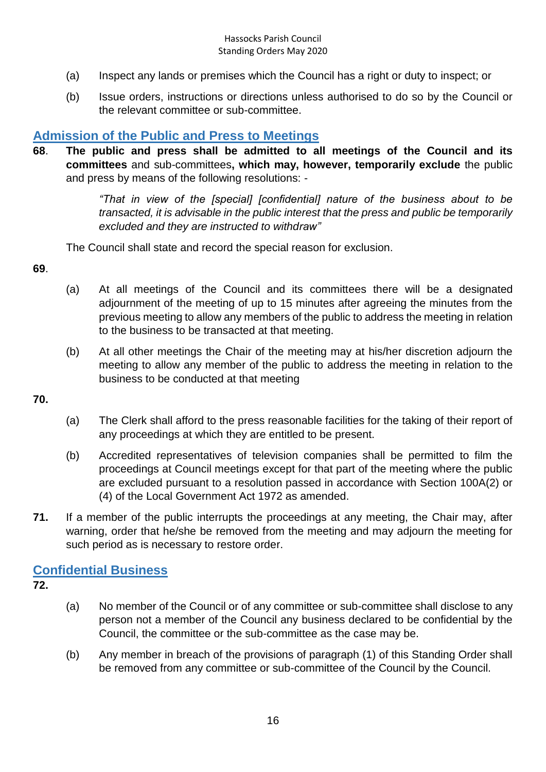- (a) Inspect any lands or premises which the Council has a right or duty to inspect; or
- (b) Issue orders, instructions or directions unless authorised to do so by the Council or the relevant committee or sub-committee.

### <span id="page-15-0"></span>**Admission of the Public and Press to Meetings**

**68**. **The public and press shall be admitted to all meetings of the Council and its committees** and sub-committees**, which may, however, temporarily exclude** the public and press by means of the following resolutions: -

> *"That in view of the [special] [confidential] nature of the business about to be transacted, it is advisable in the public interest that the press and public be temporarily excluded and they are instructed to withdraw"*

The Council shall state and record the special reason for exclusion.

**69**.

- (a) At all meetings of the Council and its committees there will be a designated adjournment of the meeting of up to 15 minutes after agreeing the minutes from the previous meeting to allow any members of the public to address the meeting in relation to the business to be transacted at that meeting.
- (b) At all other meetings the Chair of the meeting may at his/her discretion adjourn the meeting to allow any member of the public to address the meeting in relation to the business to be conducted at that meeting

**70.**

- (a) The Clerk shall afford to the press reasonable facilities for the taking of their report of any proceedings at which they are entitled to be present.
- (b) Accredited representatives of television companies shall be permitted to film the proceedings at Council meetings except for that part of the meeting where the public are excluded pursuant to a resolution passed in accordance with Section 100A(2) or (4) of the Local Government Act 1972 as amended.
- **71.** If a member of the public interrupts the proceedings at any meeting, the Chair may, after warning, order that he/she be removed from the meeting and may adjourn the meeting for such period as is necessary to restore order.

### <span id="page-15-1"></span>**Confidential Business**

**72.**

- (a) No member of the Council or of any committee or sub-committee shall disclose to any person not a member of the Council any business declared to be confidential by the Council, the committee or the sub-committee as the case may be.
- (b) Any member in breach of the provisions of paragraph (1) of this Standing Order shall be removed from any committee or sub-committee of the Council by the Council.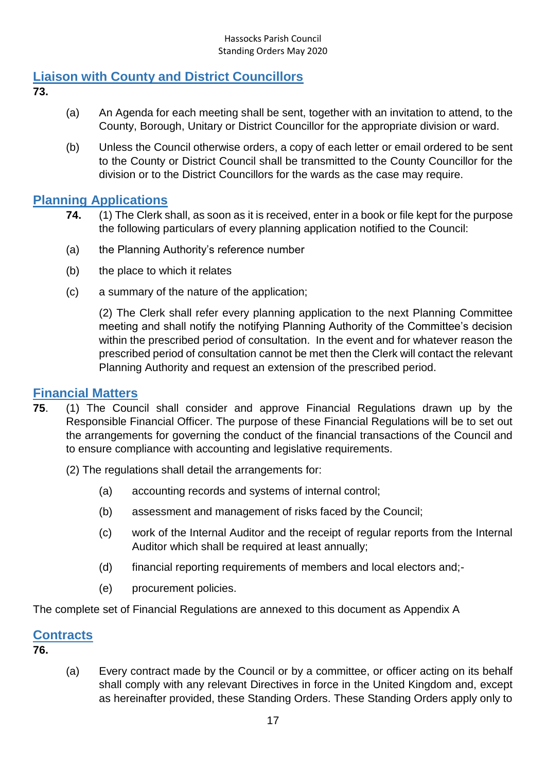### <span id="page-16-0"></span>**Liaison with County and District Councillors**

- **73.**
- (a) An Agenda for each meeting shall be sent, together with an invitation to attend, to the County, Borough, Unitary or District Councillor for the appropriate division or ward.
- (b) Unless the Council otherwise orders, a copy of each letter or email ordered to be sent to the County or District Council shall be transmitted to the County Councillor for the division or to the District Councillors for the wards as the case may require.

### <span id="page-16-1"></span>**Planning Applications**

- **74.** (1) The Clerk shall, as soon as it is received, enter in a book or file kept for the purpose the following particulars of every planning application notified to the Council:
- (a) the Planning Authority's reference number
- (b) the place to which it relates
- (c) a summary of the nature of the application;

(2) The Clerk shall refer every planning application to the next Planning Committee meeting and shall notify the notifying Planning Authority of the Committee's decision within the prescribed period of consultation. In the event and for whatever reason the prescribed period of consultation cannot be met then the Clerk will contact the relevant Planning Authority and request an extension of the prescribed period.

### <span id="page-16-2"></span>**Financial Matters**

- **75**. (1) The Council shall consider and approve Financial Regulations drawn up by the Responsible Financial Officer. The purpose of these Financial Regulations will be to set out the arrangements for governing the conduct of the financial transactions of the Council and to ensure compliance with accounting and legislative requirements.
	- (2) The regulations shall detail the arrangements for:
		- (a) accounting records and systems of internal control;
		- (b) assessment and management of risks faced by the Council;
		- (c) work of the Internal Auditor and the receipt of regular reports from the Internal Auditor which shall be required at least annually;
		- (d) financial reporting requirements of members and local electors and;-
		- (e) procurement policies.

The complete set of Financial Regulations are annexed to this document as Appendix A

### <span id="page-16-3"></span>**Contracts**

**76.**

(a) Every contract made by the Council or by a committee, or officer acting on its behalf shall comply with any relevant Directives in force in the United Kingdom and, except as hereinafter provided, these Standing Orders. These Standing Orders apply only to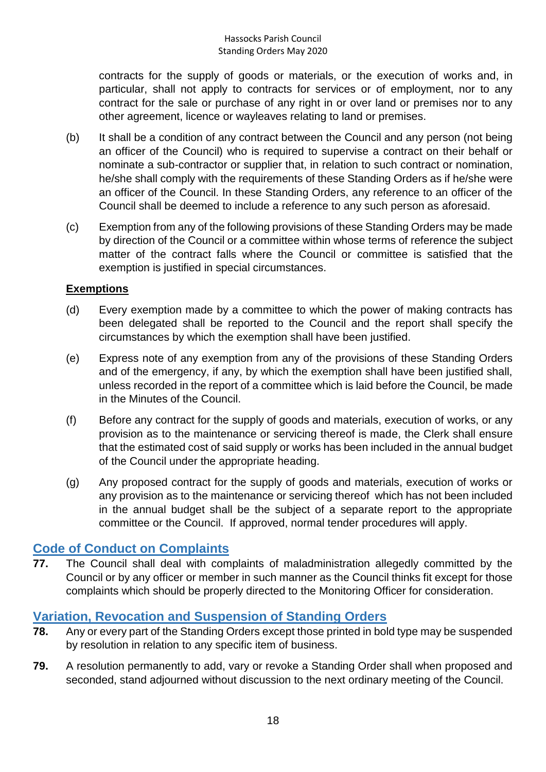contracts for the supply of goods or materials, or the execution of works and, in particular, shall not apply to contracts for services or of employment, nor to any contract for the sale or purchase of any right in or over land or premises nor to any other agreement, licence or wayleaves relating to land or premises.

- (b) It shall be a condition of any contract between the Council and any person (not being an officer of the Council) who is required to supervise a contract on their behalf or nominate a sub-contractor or supplier that, in relation to such contract or nomination, he/she shall comply with the requirements of these Standing Orders as if he/she were an officer of the Council. In these Standing Orders, any reference to an officer of the Council shall be deemed to include a reference to any such person as aforesaid.
- (c) Exemption from any of the following provisions of these Standing Orders may be made by direction of the Council or a committee within whose terms of reference the subject matter of the contract falls where the Council or committee is satisfied that the exemption is justified in special circumstances.

#### **Exemptions**

- (d) Every exemption made by a committee to which the power of making contracts has been delegated shall be reported to the Council and the report shall specify the circumstances by which the exemption shall have been justified.
- (e) Express note of any exemption from any of the provisions of these Standing Orders and of the emergency, if any, by which the exemption shall have been justified shall, unless recorded in the report of a committee which is laid before the Council, be made in the Minutes of the Council.
- (f) Before any contract for the supply of goods and materials, execution of works, or any provision as to the maintenance or servicing thereof is made, the Clerk shall ensure that the estimated cost of said supply or works has been included in the annual budget of the Council under the appropriate heading.
- (g) Any proposed contract for the supply of goods and materials, execution of works or any provision as to the maintenance or servicing thereof which has not been included in the annual budget shall be the subject of a separate report to the appropriate committee or the Council. If approved, normal tender procedures will apply.

### <span id="page-17-0"></span>**Code of Conduct on Complaints**

**77.** The Council shall deal with complaints of maladministration allegedly committed by the Council or by any officer or member in such manner as the Council thinks fit except for those complaints which should be properly directed to the Monitoring Officer for consideration.

### <span id="page-17-1"></span>**Variation, Revocation and Suspension of Standing Orders**

- **78.** Any or every part of the Standing Orders except those printed in bold type may be suspended by resolution in relation to any specific item of business.
- **79.** A resolution permanently to add, vary or revoke a Standing Order shall when proposed and seconded, stand adjourned without discussion to the next ordinary meeting of the Council.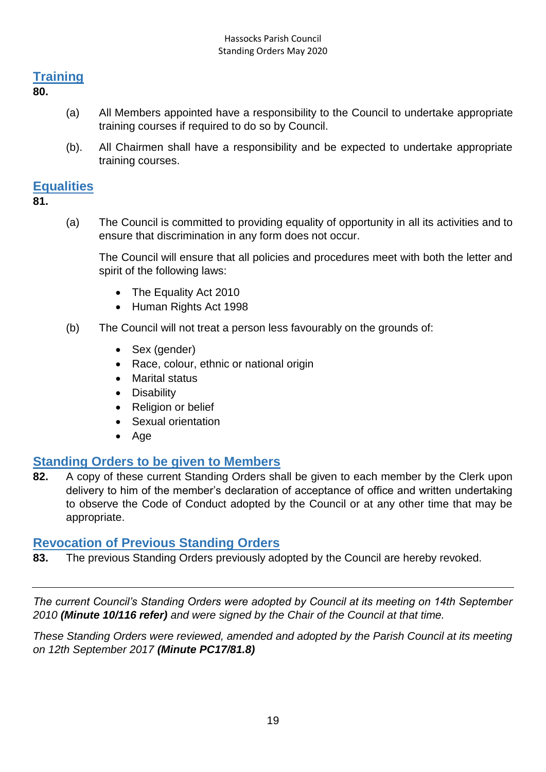### <span id="page-18-0"></span>**Training**

**80.**

- (a) All Members appointed have a responsibility to the Council to undertake appropriate training courses if required to do so by Council.
- (b). All Chairmen shall have a responsibility and be expected to undertake appropriate training courses.

### <span id="page-18-1"></span>**Equalities**

**81.**

(a) The Council is committed to providing equality of opportunity in all its activities and to ensure that discrimination in any form does not occur.

The Council will ensure that all policies and procedures meet with both the letter and spirit of the following laws:

- The Equality Act 2010
- Human Rights Act 1998
- (b) The Council will not treat a person less favourably on the grounds of:
	- Sex (gender)
	- Race, colour, ethnic or national origin
	- Marital status
	- Disability
	- Religion or belief
	- Sexual orientation
	- $\bullet$  Age

### <span id="page-18-2"></span>**Standing Orders to be given to Members**

**82.** A copy of these current Standing Orders shall be given to each member by the Clerk upon delivery to him of the member's declaration of acceptance of office and written undertaking to observe the Code of Conduct adopted by the Council or at any other time that may be appropriate.

### <span id="page-18-3"></span>**Revocation of Previous Standing Orders**

**83.** The previous Standing Orders previously adopted by the Council are hereby revoked.

*The current Council's Standing Orders were adopted by Council at its meeting on 14th September 2010 (Minute 10/116 refer) and were signed by the Chair of the Council at that time.* 

*These Standing Orders were reviewed, amended and adopted by the Parish Council at its meeting on 12th September 2017 (Minute PC17/81.8)*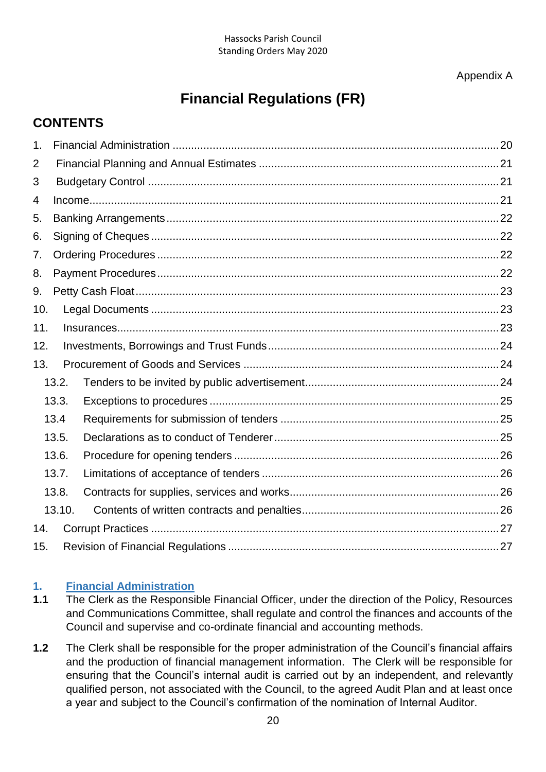Appendix A

# **Financial Regulations (FR)**

### **CONTENTS**

| 1.             |        |  |  |  |  |  |
|----------------|--------|--|--|--|--|--|
| $\overline{2}$ |        |  |  |  |  |  |
| 3              |        |  |  |  |  |  |
| 4              |        |  |  |  |  |  |
| 5.             |        |  |  |  |  |  |
| 6.             |        |  |  |  |  |  |
| 7.             |        |  |  |  |  |  |
| 8.             |        |  |  |  |  |  |
| 9.             |        |  |  |  |  |  |
| 10.            |        |  |  |  |  |  |
| 11.            |        |  |  |  |  |  |
| 12.            |        |  |  |  |  |  |
| 13.            |        |  |  |  |  |  |
|                | 13.2.  |  |  |  |  |  |
|                | 13.3.  |  |  |  |  |  |
|                | 13.4   |  |  |  |  |  |
|                | 13.5.  |  |  |  |  |  |
|                | 13.6.  |  |  |  |  |  |
|                | 13.7.  |  |  |  |  |  |
|                | 13.8.  |  |  |  |  |  |
|                | 13.10. |  |  |  |  |  |
| 14.            |        |  |  |  |  |  |
| 15.            |        |  |  |  |  |  |

#### <span id="page-19-0"></span>**1. Financial Administration**

- **1.1** The Clerk as the Responsible Financial Officer, under the direction of the Policy, Resources and Communications Committee, shall regulate and control the finances and accounts of the Council and supervise and co-ordinate financial and accounting methods.
- **1.2** The Clerk shall be responsible for the proper administration of the Council's financial affairs and the production of financial management information. The Clerk will be responsible for ensuring that the Council's internal audit is carried out by an independent, and relevantly qualified person, not associated with the Council, to the agreed Audit Plan and at least once a year and subject to the Council's confirmation of the nomination of Internal Auditor.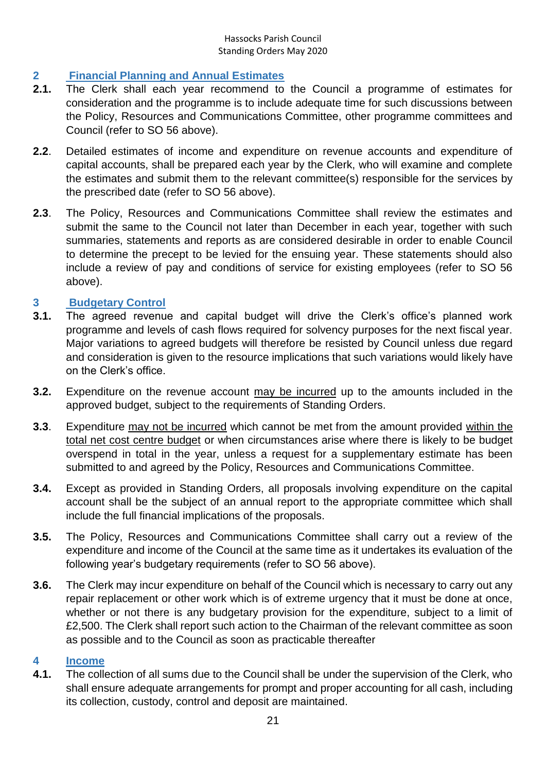### <span id="page-20-0"></span>**2 Financial Planning and Annual Estimates**

- **2.1.** The Clerk shall each year recommend to the Council a programme of estimates for consideration and the programme is to include adequate time for such discussions between the Policy, Resources and Communications Committee, other programme committees and Council (refer to SO 56 above).
- **2.2**. Detailed estimates of income and expenditure on revenue accounts and expenditure of capital accounts, shall be prepared each year by the Clerk, who will examine and complete the estimates and submit them to the relevant committee(s) responsible for the services by the prescribed date (refer to SO 56 above).
- **2.3**. The Policy, Resources and Communications Committee shall review the estimates and submit the same to the Council not later than December in each year, together with such summaries, statements and reports as are considered desirable in order to enable Council to determine the precept to be levied for the ensuing year. These statements should also include a review of pay and conditions of service for existing employees (refer to SO 56 above).

#### <span id="page-20-1"></span>**3 Budgetary Control**

- **3.1.** The agreed revenue and capital budget will drive the Clerk's office's planned work programme and levels of cash flows required for solvency purposes for the next fiscal year. Major variations to agreed budgets will therefore be resisted by Council unless due regard and consideration is given to the resource implications that such variations would likely have on the Clerk's office.
- **3.2.** Expenditure on the revenue account may be incurred up to the amounts included in the approved budget, subject to the requirements of Standing Orders.
- **3.3**. Expenditure may not be incurred which cannot be met from the amount provided within the total net cost centre budget or when circumstances arise where there is likely to be budget overspend in total in the year, unless a request for a supplementary estimate has been submitted to and agreed by the Policy, Resources and Communications Committee.
- **3.4.** Except as provided in Standing Orders, all proposals involving expenditure on the capital account shall be the subject of an annual report to the appropriate committee which shall include the full financial implications of the proposals.
- **3.5.** The Policy, Resources and Communications Committee shall carry out a review of the expenditure and income of the Council at the same time as it undertakes its evaluation of the following year's budgetary requirements (refer to SO 56 above).
- **3.6.** The Clerk may incur expenditure on behalf of the Council which is necessary to carry out any repair replacement or other work which is of extreme urgency that it must be done at once, whether or not there is any budgetary provision for the expenditure, subject to a limit of £2,500. The Clerk shall report such action to the Chairman of the relevant committee as soon as possible and to the Council as soon as practicable thereafter

#### <span id="page-20-2"></span>**4 Income**

**4.1.** The collection of all sums due to the Council shall be under the supervision of the Clerk, who shall ensure adequate arrangements for prompt and proper accounting for all cash, including its collection, custody, control and deposit are maintained.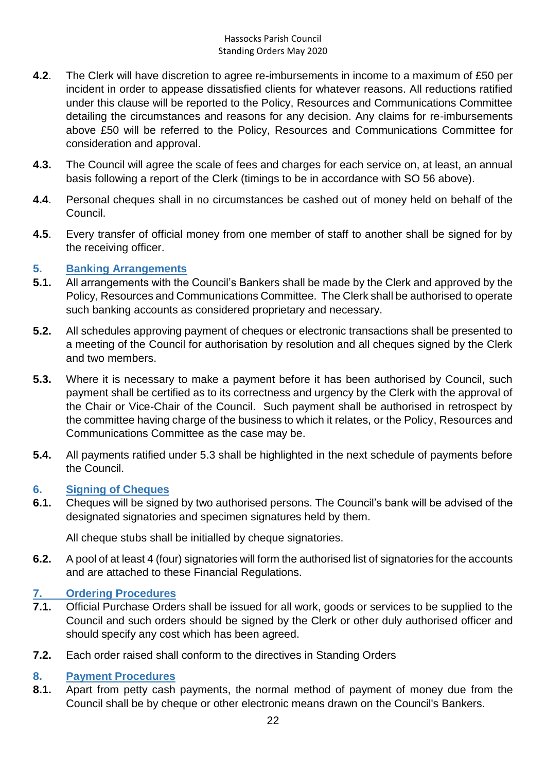- **4.2**. The Clerk will have discretion to agree re-imbursements in income to a maximum of £50 per incident in order to appease dissatisfied clients for whatever reasons. All reductions ratified under this clause will be reported to the Policy, Resources and Communications Committee detailing the circumstances and reasons for any decision. Any claims for re-imbursements above £50 will be referred to the Policy, Resources and Communications Committee for consideration and approval.
- **4.3.** The Council will agree the scale of fees and charges for each service on, at least, an annual basis following a report of the Clerk (timings to be in accordance with SO 56 above).
- **4.4**. Personal cheques shall in no circumstances be cashed out of money held on behalf of the Council.
- **4.5**. Every transfer of official money from one member of staff to another shall be signed for by the receiving officer.

#### <span id="page-21-0"></span>**5. Banking Arrangements**

- **5.1.** All arrangements with the Council's Bankers shall be made by the Clerk and approved by the Policy, Resources and Communications Committee. The Clerk shall be authorised to operate such banking accounts as considered proprietary and necessary.
- **5.2.** All schedules approving payment of cheques or electronic transactions shall be presented to a meeting of the Council for authorisation by resolution and all cheques signed by the Clerk and two members.
- **5.3.** Where it is necessary to make a payment before it has been authorised by Council, such payment shall be certified as to its correctness and urgency by the Clerk with the approval of the Chair or Vice-Chair of the Council. Such payment shall be authorised in retrospect by the committee having charge of the business to which it relates, or the Policy, Resources and Communications Committee as the case may be.
- **5.4.** All payments ratified under 5.3 shall be highlighted in the next schedule of payments before the Council.

#### <span id="page-21-1"></span>**6. Signing of Cheques**

**6.1.** Cheques will be signed by two authorised persons. The Council's bank will be advised of the designated signatories and specimen signatures held by them.

All cheque stubs shall be initialled by cheque signatories.

**6.2.** A pool of at least 4 (four) signatories will form the authorised list of signatories for the accounts and are attached to these Financial Regulations.

#### <span id="page-21-2"></span>**7. Ordering Procedures**

- **7.1.** Official Purchase Orders shall be issued for all work, goods or services to be supplied to the Council and such orders should be signed by the Clerk or other duly authorised officer and should specify any cost which has been agreed.
- **7.2.** Each order raised shall conform to the directives in Standing Orders

#### <span id="page-21-3"></span>**8. Payment Procedures**

**8.1.** Apart from petty cash payments, the normal method of payment of money due from the Council shall be by cheque or other electronic means drawn on the Council's Bankers.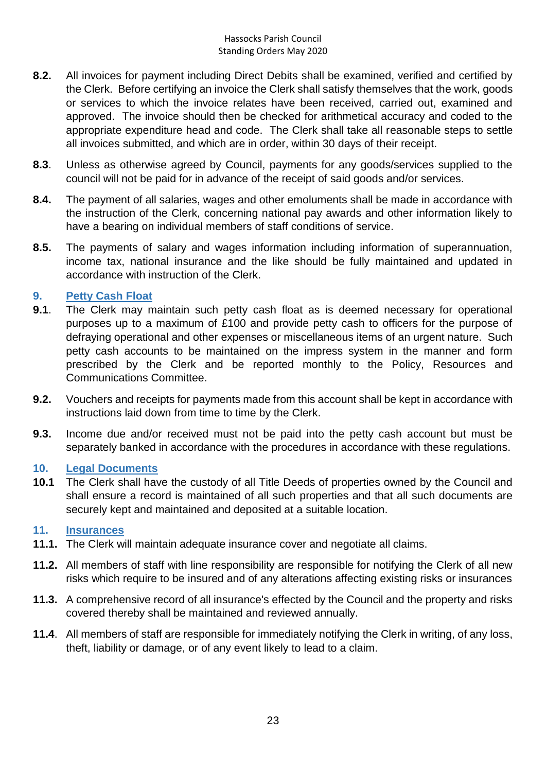- **8.2.** All invoices for payment including Direct Debits shall be examined, verified and certified by the Clerk. Before certifying an invoice the Clerk shall satisfy themselves that the work, goods or services to which the invoice relates have been received, carried out, examined and approved. The invoice should then be checked for arithmetical accuracy and coded to the appropriate expenditure head and code. The Clerk shall take all reasonable steps to settle all invoices submitted, and which are in order, within 30 days of their receipt.
- **8.3**. Unless as otherwise agreed by Council, payments for any goods/services supplied to the council will not be paid for in advance of the receipt of said goods and/or services.
- **8.4.** The payment of all salaries, wages and other emoluments shall be made in accordance with the instruction of the Clerk, concerning national pay awards and other information likely to have a bearing on individual members of staff conditions of service.
- **8.5.** The payments of salary and wages information including information of superannuation, income tax, national insurance and the like should be fully maintained and updated in accordance with instruction of the Clerk.

#### <span id="page-22-0"></span>**9. Petty Cash Float**

- **9.1**. The Clerk may maintain such petty cash float as is deemed necessary for operational purposes up to a maximum of £100 and provide petty cash to officers for the purpose of defraying operational and other expenses or miscellaneous items of an urgent nature. Such petty cash accounts to be maintained on the impress system in the manner and form prescribed by the Clerk and be reported monthly to the Policy, Resources and Communications Committee.
- **9.2.** Vouchers and receipts for payments made from this account shall be kept in accordance with instructions laid down from time to time by the Clerk.
- **9.3.** Income due and/or received must not be paid into the petty cash account but must be separately banked in accordance with the procedures in accordance with these regulations.

#### <span id="page-22-1"></span>**10. Legal Documents**

**10.1** The Clerk shall have the custody of all Title Deeds of properties owned by the Council and shall ensure a record is maintained of all such properties and that all such documents are securely kept and maintained and deposited at a suitable location.

#### <span id="page-22-2"></span>**11. Insurances**

- **11.1.** The Clerk will maintain adequate insurance cover and negotiate all claims.
- **11.2.** All members of staff with line responsibility are responsible for notifying the Clerk of all new risks which require to be insured and of any alterations affecting existing risks or insurances
- **11.3.** A comprehensive record of all insurance's effected by the Council and the property and risks covered thereby shall be maintained and reviewed annually.
- **11.4**. All members of staff are responsible for immediately notifying the Clerk in writing, of any loss, theft, liability or damage, or of any event likely to lead to a claim.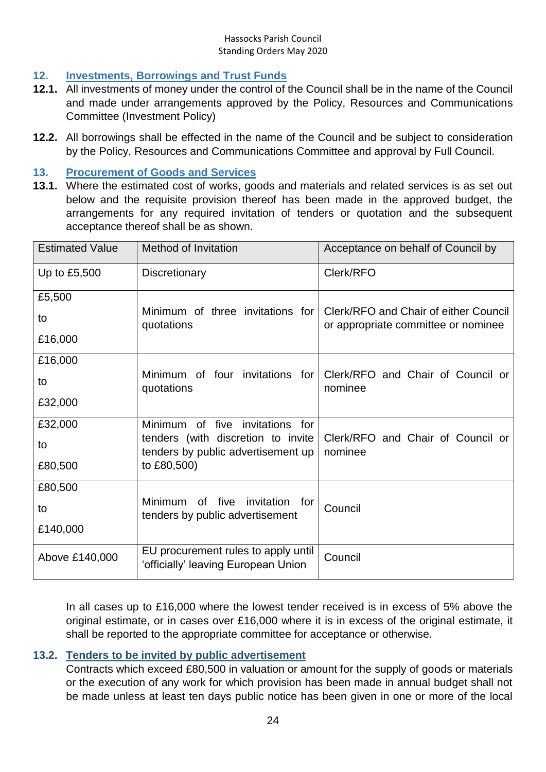### <span id="page-23-0"></span>**12. Investments, Borrowings and Trust Funds**

- **12.1.** All investments of money under the control of the Council shall be in the name of the Council and made under arrangements approved by the Policy, Resources and Communications Committee (Investment Policy)
- **12.2.** All borrowings shall be effected in the name of the Council and be subject to consideration by the Policy, Resources and Communications Committee and approval by Full Council.

#### <span id="page-23-1"></span>**13. Procurement of Goods and Services**

**13.1.** Where the estimated cost of works, goods and materials and related services is as set out below and the requisite provision thereof has been made in the approved budget, the arrangements for any required invitation of tenders or quotation and the subsequent acceptance thereof shall be as shown.

| <b>Estimated Value</b> | Method of Invitation                                                       | Acceptance on behalf of Council by                                           |  |
|------------------------|----------------------------------------------------------------------------|------------------------------------------------------------------------------|--|
| Up to £5,500           | <b>Discretionary</b>                                                       | Clerk/RFO                                                                    |  |
| £5,500                 |                                                                            |                                                                              |  |
| to                     | Minimum of three invitations for<br>quotations                             | Clerk/RFO and Chair of either Council<br>or appropriate committee or nominee |  |
| £16,000                |                                                                            |                                                                              |  |
| £16,000                |                                                                            |                                                                              |  |
| to                     | Minimum of four invitations for<br>quotations                              | Clerk/RFO and Chair of Council or<br>nominee                                 |  |
| £32,000                |                                                                            |                                                                              |  |
| £32,000                | Minimum of five invitations<br>for                                         |                                                                              |  |
| to                     | tenders (with discretion to invite<br>tenders by public advertisement up   | Clerk/RFO and Chair of Council or<br>nominee                                 |  |
| £80,500                | to £80,500)                                                                |                                                                              |  |
| £80,500                |                                                                            |                                                                              |  |
| to                     | Minimum of five<br>invitation<br>for<br>tenders by public advertisement    | Council                                                                      |  |
| £140,000               |                                                                            |                                                                              |  |
| Above £140,000         | EU procurement rules to apply until<br>'officially' leaving European Union | Council                                                                      |  |

In all cases up to £16,000 where the lowest tender received is in excess of 5% above the original estimate, or in cases over £16,000 where it is in excess of the original estimate, it shall be reported to the appropriate committee for acceptance or otherwise.

#### <span id="page-23-2"></span>**13.2. Tenders to be invited by public advertisement**

Contracts which exceed £80,500 in valuation or amount for the supply of goods or materials or the execution of any work for which provision has been made in annual budget shall not be made unless at least ten days public notice has been given in one or more of the local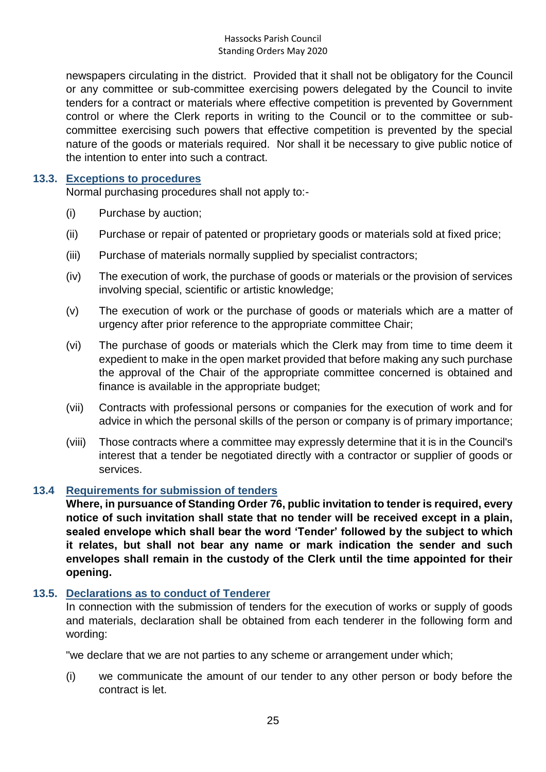newspapers circulating in the district. Provided that it shall not be obligatory for the Council or any committee or sub-committee exercising powers delegated by the Council to invite tenders for a contract or materials where effective competition is prevented by Government control or where the Clerk reports in writing to the Council or to the committee or subcommittee exercising such powers that effective competition is prevented by the special nature of the goods or materials required. Nor shall it be necessary to give public notice of the intention to enter into such a contract.

#### <span id="page-24-0"></span>**13.3. Exceptions to procedures**

Normal purchasing procedures shall not apply to:-

- (i) Purchase by auction;
- (ii) Purchase or repair of patented or proprietary goods or materials sold at fixed price;
- (iii) Purchase of materials normally supplied by specialist contractors;
- (iv) The execution of work, the purchase of goods or materials or the provision of services involving special, scientific or artistic knowledge;
- (v) The execution of work or the purchase of goods or materials which are a matter of urgency after prior reference to the appropriate committee Chair;
- (vi) The purchase of goods or materials which the Clerk may from time to time deem it expedient to make in the open market provided that before making any such purchase the approval of the Chair of the appropriate committee concerned is obtained and finance is available in the appropriate budget;
- (vii) Contracts with professional persons or companies for the execution of work and for advice in which the personal skills of the person or company is of primary importance;
- (viii) Those contracts where a committee may expressly determine that it is in the Council's interest that a tender be negotiated directly with a contractor or supplier of goods or services.

### <span id="page-24-1"></span>**13.4 Requirements for submission of tenders**

**Where, in pursuance of Standing Order 76, public invitation to tender is required, every notice of such invitation shall state that no tender will be received except in a plain, sealed envelope which shall bear the word 'Tender' followed by the subject to which it relates, but shall not bear any name or mark indication the sender and such envelopes shall remain in the custody of the Clerk until the time appointed for their opening.**

#### <span id="page-24-2"></span>**13.5. Declarations as to conduct of Tenderer**

In connection with the submission of tenders for the execution of works or supply of goods and materials, declaration shall be obtained from each tenderer in the following form and wording:

"we declare that we are not parties to any scheme or arrangement under which;

(i) we communicate the amount of our tender to any other person or body before the contract is let.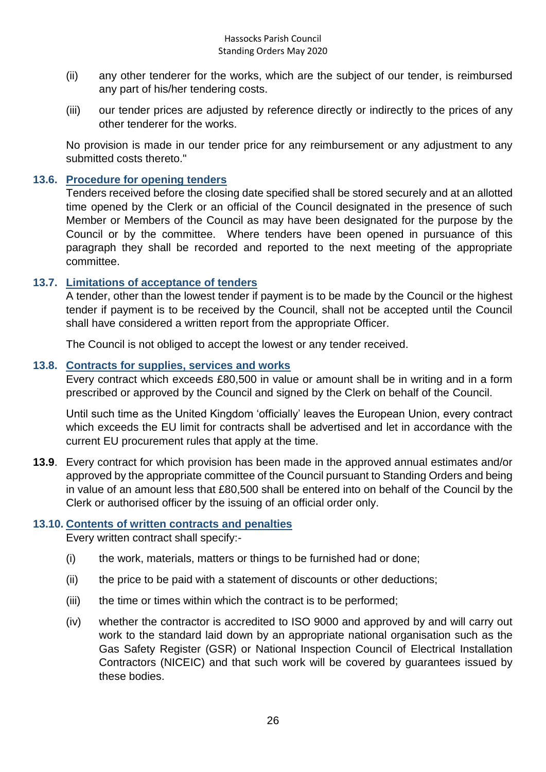- (ii) any other tenderer for the works, which are the subject of our tender, is reimbursed any part of his/her tendering costs.
- (iii) our tender prices are adjusted by reference directly or indirectly to the prices of any other tenderer for the works.

No provision is made in our tender price for any reimbursement or any adjustment to any submitted costs thereto."

#### <span id="page-25-0"></span>**13.6. Procedure for opening tenders**

Tenders received before the closing date specified shall be stored securely and at an allotted time opened by the Clerk or an official of the Council designated in the presence of such Member or Members of the Council as may have been designated for the purpose by the Council or by the committee. Where tenders have been opened in pursuance of this paragraph they shall be recorded and reported to the next meeting of the appropriate committee.

#### <span id="page-25-1"></span>**13.7. Limitations of acceptance of tenders**

A tender, other than the lowest tender if payment is to be made by the Council or the highest tender if payment is to be received by the Council, shall not be accepted until the Council shall have considered a written report from the appropriate Officer.

The Council is not obliged to accept the lowest or any tender received.

#### <span id="page-25-2"></span>**13.8. Contracts for supplies, services and works**

Every contract which exceeds £80,500 in value or amount shall be in writing and in a form prescribed or approved by the Council and signed by the Clerk on behalf of the Council.

Until such time as the United Kingdom 'officially' leaves the European Union, every contract which exceeds the EU limit for contracts shall be advertised and let in accordance with the current EU procurement rules that apply at the time.

**13.9**. Every contract for which provision has been made in the approved annual estimates and/or approved by the appropriate committee of the Council pursuant to Standing Orders and being in value of an amount less that £80,500 shall be entered into on behalf of the Council by the Clerk or authorised officer by the issuing of an official order only.

#### <span id="page-25-3"></span>**13.10. Contents of written contracts and penalties**

Every written contract shall specify:-

- (i) the work, materials, matters or things to be furnished had or done;
- (ii) the price to be paid with a statement of discounts or other deductions;
- (iii) the time or times within which the contract is to be performed;
- (iv) whether the contractor is accredited to ISO 9000 and approved by and will carry out work to the standard laid down by an appropriate national organisation such as the Gas Safety Register (GSR) or National Inspection Council of Electrical Installation Contractors (NICEIC) and that such work will be covered by guarantees issued by these bodies.